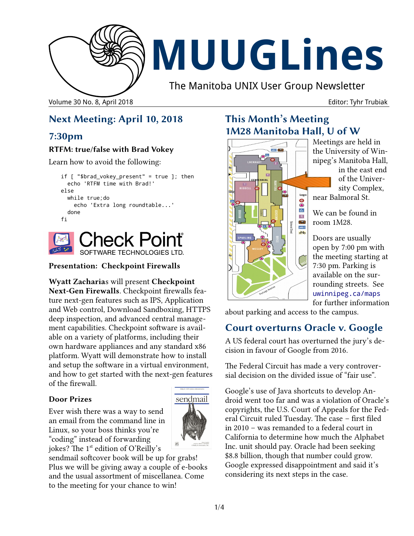

# **MUUGLines**

The Manitoba UNIX User Group Newsletter

Volume 30 No. 8, April 2018 Philip States and Trumper and Trumper and Trumper and Trumper and Trumper and Trumper and Trumper and Trumper and Trumper and Trumper and Trumper and Trumper and Trumper and Trumper and Trumper

# **Next Meeting: April 10, 2018**

# **7:30pm**

#### **RTFM: true/false with Brad Vokey**

Learn how to avoid the following:

```
if [ "$brad_vokey_present" = true ]; then
   echo 'RTFM time with Brad!'
else
  while true;do
     echo 'Extra long roundtable...'
   done
fi
```


#### **Presentation: Checkpoint Firewalls**

**Wyatt Zacharia**s will present **Checkpoint Next-Gen Firewalls**. Checkpoint firewalls feature next-gen features such as IPS, Application and Web control, Download Sandboxing, HTTPS deep inspection, and advanced central management capabilities. Checkpoint software is available on a variety of platforms, including their own hardware appliances and any standard x86 platform. Wyatt will demonstrate how to install and setup the software in a virtual environment, and how to get started with the next-gen features of the firewall.

#### **Door Prizes**

Ever wish there was a way to send an email from the command line in Linux, so your boss thinks you're "coding" instead of forwarding



jokes? The  $1<sup>st</sup>$  edition of O'Reilly's sendmail softcover book will be up for grabs!

Plus we will be giving away a couple of e-books and the usual assortment of miscellanea. Come to the meeting for your chance to win!

# **This Month's Meeting 1M28 Manitoba Hall, U of W**



Meetings are held in the University of Winnipeg's Manitoba Hall, in the east end of the Univer-

sity Complex, near Balmoral St.

We can be found in room 1M28.

Doors are usually open by 7:00 pm with the meeting starting at 7:30 pm. Parking is available on the surrounding streets. See [uwinnipeg.ca/maps](http://www.uwinnipeg.ca/maps) for further information

about parking and access to the campus.

# **Court overturns Oracle v. Google**

A US federal court has overturned the jury's decision in favour of Google from 2016.

The Federal Circuit has made a very controversial decision on the divided issue of "fair use".

Google's use of Java shortcuts to develop Android went too far and was a violation of Oracle's copyrights, the U.S. Court of Appeals for the Federal Circuit ruled Tuesday. The case – first filed in 2010 – was remanded to a federal court in California to determine how much the Alphabet Inc. unit should pay. Oracle had been seeking \$8.8 billion, though that number could grow. Google expressed disappointment and said it's considering its next steps in the case.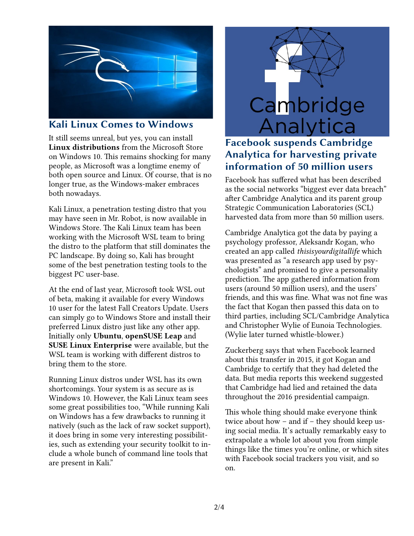

# **Kali Linux Comes to Windows**

It still seems unreal, but yes, you can install **Linux distributions** from the Microsoft Store on Windows 10. This remains shocking for many people, as Microsoft was a longtime enemy of both open source and Linux. Of course, that is no longer true, as the Windows-maker embraces both nowadays.

Kali Linux, a penetration testing distro that you may have seen in Mr. Robot, is now available in Windows Store. The Kali Linux team has been working with the Microsoft WSL team to bring the distro to the platform that still dominates the PC landscape. By doing so, Kali has brought some of the best penetration testing tools to the biggest PC user-base.

At the end of last year, Microsoft took WSL out of beta, making it available for every Windows 10 user for the latest Fall Creators Update. Users can simply go to Windows Store and install their preferred Linux distro just like any other app. Initially only **Ubuntu**, **openSUSE Leap** and **SUSE Linux Enterprise** were available, but the WSL team is working with different distros to bring them to the store.

Running Linux distros under WSL has its own shortcomings. Your system is as secure as is Windows 10. However, the Kali Linux team sees some great possibilities too, "While running Kali on Windows has a few drawbacks to running it natively (such as the lack of raw socket support), it does bring in some very interesting possibilities, such as extending your security toolkit to include a whole bunch of command line tools that are present in Kali."

# Cambridge Analytica

# **Facebook suspends Cambridge Analytica for harvesting private information of 50 million users**

Facebook has suffered what has been described as the social networks "biggest ever data breach" after Cambridge Analytica and its parent group Strategic Communication Laboratories (SCL) harvested data from more than 50 million users.

Cambridge Analytica got the data by paying a psychology professor, Aleksandr Kogan, who created an app called *thisisyourdigitallife* which was presented as "a research app used by psychologists" and promised to give a personality prediction. The app gathered information from users (around 50 million users), and the users' friends, and this was fine. What was not fine was the fact that Kogan then passed this data on to third parties, including SCL/Cambridge Analytica and Christopher Wylie of Eunoia Technologies. (Wylie later turned whistle-blower.)

Zuckerberg says that when Facebook learned about this transfer in 2015, it got Kogan and Cambridge to certify that they had deleted the data. But media reports this weekend suggested that Cambridge had lied and retained the data throughout the 2016 presidential campaign.

This whole thing should make everyone think twice about how – and if – they should keep using social media. It's actually remarkably easy to extrapolate a whole lot about you from simple things like the times you're online, or which sites with Facebook social trackers you visit, and so on.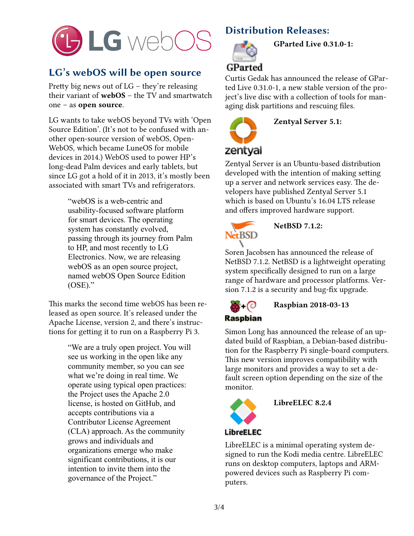

# **LG's webOS will be open source**

Pretty big news out of LG – they're releasing their variant of **webOS** – the TV and smartwatch one – as **open source**.

LG wants to take webOS beyond TVs with 'Open Source Edition'. (It's not to be confused with another open-source version of webOS, Open-WebOS, which became LuneOS for mobile devices in 2014.) WebOS used to power HP's long-dead Palm devices and early tablets, but since LG got a hold of it in 2013, it's mostly been associated with smart TVs and refrigerators.

> "webOS is a web-centric and usability-focused software platform for smart devices. The operating system has constantly evolved, passing through its journey from Palm to HP, and most recently to LG Electronics. Now, we are releasing webOS as an open source project, named webOS Open Source Edition (OSE)."

This marks the second time webOS has been released as open source. It's released under the Apache License, version 2, and there's instructions for getting it to run on a Raspberry Pi 3.

> "We are a truly open project. You will see us working in the open like any community member, so you can see what we're doing in real time. We operate using typical open practices: the Project uses the Apache 2.0 license, is hosted on GitHub, and accepts contributions via a Contributor License Agreement (CLA) approach. As the community grows and individuals and organizations emerge who make significant contributions, it is our intention to invite them into the governance of the Project."

# **Distribution Releases:**



**GParted Live 0.31.0-1:**

# **GParted**

Curtis Gedak has announced the release of GParted Live 0.31.0-1, a new stable version of the project's live disc with a collection of tools for managing disk partitions and rescuing files.



#### **Zentyal Server 5.1:**

Zentyal Server is an Ubuntu-based distribution developed with the intention of making setting up a server and network services easy. The developers have published Zentyal Server 5.1 which is based on Ubuntu's 16.04 LTS release and offers improved hardware support.



#### **NetBSD 7.1.2:**

Soren Jacobsen has announced the release of NetBSD 7.1.2. NetBSD is a lightweight operating system specifically designed to run on a large range of hardware and processor platforms. Version 7.1.2 is a security and bug-fix upgrade.



## **Raspbian 2018-03-13**

Simon Long has announced the release of an updated build of Raspbian, a Debian-based distribution for the Raspberry Pi single-board computers. This new version improves compatibility with large monitors and provides a way to set a default screen option depending on the size of the monitor.



#### **LibreELEC 8.2.4**

#### **LibreELEC**

LibreELEC is a minimal operating system designed to run the Kodi media centre. LibreELEC runs on desktop computers, laptops and ARMpowered devices such as Raspberry Pi computers.